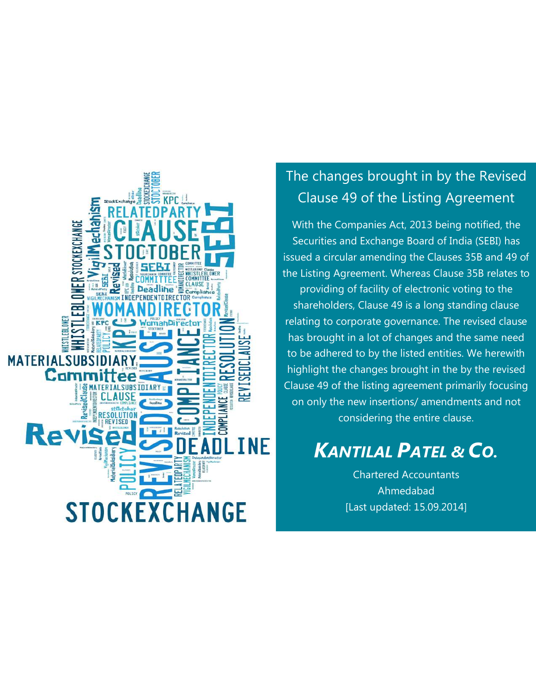

# The changes brought in by the Revised Clause 49 of the Listing Agreement

With the Companies Act, 2013 being notified, the Securities and Exchange Board of India (SEBI) has issued a circular amending the Clauses 35B and 49 of the Listing Agreement. Whereas Clause 35B relates to providing of facility of electronic voting to the shareholders, Clause 49 is a long standing clause relating to corporate governance. The revised clause has brought in a lot of changes and the same need to be adhered to by the listed entities. We herewith highlight the changes brought in the by the revised Clause 49 of the listing agreement primarily focusing on only the new insertions/ amendments and not considering the entire clause.

# *KANTILAL PATEL & CO.*

Chartered Accountants Ahmedabad [Last updated: 15.09.2014]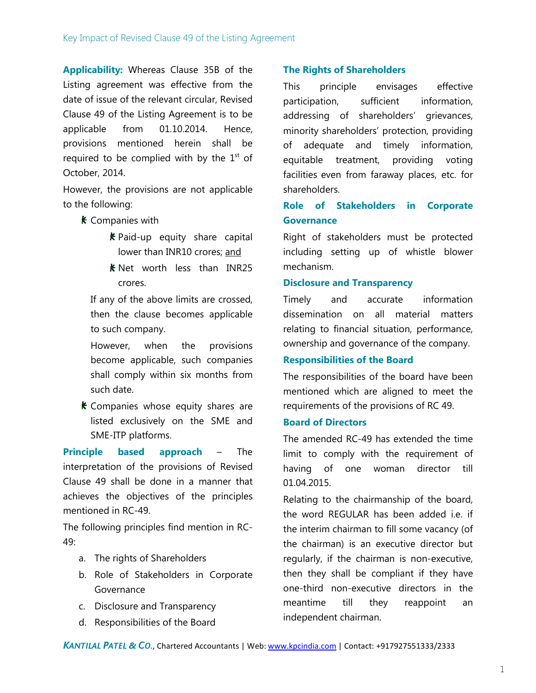**Applicability:** Whereas Clause 35B of the Listing agreement was effective from the date of issue of the relevant circular, Revised Clause 49 of the Listing Agreement is to be applicable from 01.10.2014. Hence, provisions mentioned herein shall be required to be complied with by the  $1<sup>st</sup>$  of October, 2014.

However, the provisions are not applicable to the following:

- **K** Companies with
	- $k$  Paid-up equity share capital lower than INR10 crores; and
	- $k$  Net worth less than INR25 crores.

If any of the above limits are crossed, then the clause becomes applicable to such company.

However, when the provisions become applicable, such companies shall comply within six months from such date.

 $k$  Companies whose equity shares are listed exclusively on the SME and SME-ITP platforms.

**Principle based approach** – The interpretation of the provisions of Revised Clause 49 shall be done in a manner that achieves the objectives of the principles mentioned in RC-49.

The following principles find mention in RC-49:

- a. The rights of Shareholders
- b. Role of Stakeholders in Corporate Governance
- c. Disclosure and Transparency
- d. Responsibilities of the Board

#### **The Rights of Shareholders**

This principle envisages effective participation, sufficient information, addressing of shareholders' grievances, minority shareholders' protection, providing of adequate and timely information, equitable treatment, providing voting facilities even from faraway places, etc. for shareholders.

# **Role of Stakeholders in Corporate Governance**

Right of stakeholders must be protected including setting up of whistle blower mechanism.

#### **Disclosure and Transparency**

Timely and accurate information dissemination on all material matters relating to financial situation, performance, ownership and governance of the company.

#### **Responsibilities of the Board**

The responsibilities of the board have been mentioned which are aligned to meet the requirements of the provisions of RC 49.

#### **Board of Directors**

The amended RC-49 has extended the time limit to comply with the requirement of having of one woman director till 01.04.2015.

Relating to the chairmanship of the board, the word REGULAR has been added i.e. if the interim chairman to fill some vacancy (of the chairman) is an executive director but regularly, if the chairman is non-executive, then they shall be compliant if they have one-third non-executive directors in the meantime till they reappoint an independent chairman.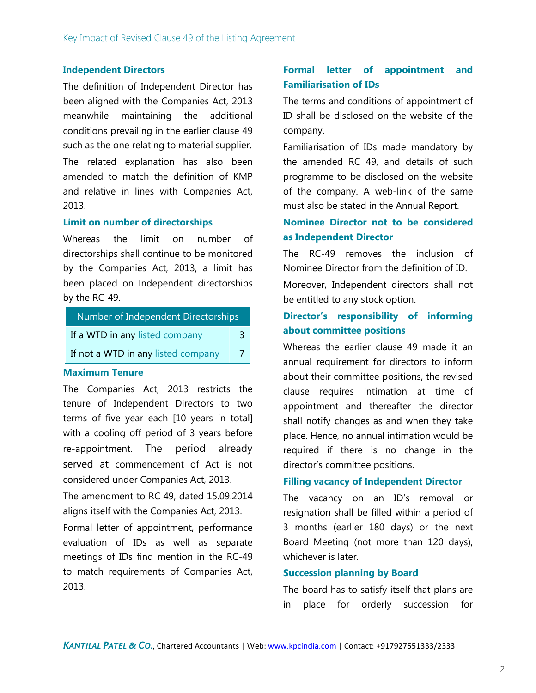#### **Independent Directors**

The definition of Independent Director has been aligned with the Companies Act, 2013 meanwhile maintaining the additional conditions prevailing in the earlier clause 49 such as the one relating to material supplier. The related explanation has also been amended to match the definition of KMP and relative in lines with Companies Act, 2013.

#### **Limit on number of directorships**

Whereas the limit on number of directorships shall continue to be monitored by the Companies Act, 2013, a limit has been placed on Independent directorships by the RC-49.

| Number of Independent Directorships |   |  |  |  |
|-------------------------------------|---|--|--|--|
| If a WTD in any listed company      | 2 |  |  |  |
| If not a WTD in any listed company  |   |  |  |  |

#### **Maximum Tenure**

The Companies Act, 2013 restricts the tenure of Independent Directors to two terms of five year each [10 years in total] with a cooling off period of 3 years before re-appointment. The period already served at commencement of Act is not considered under Companies Act, 2013.

The amendment to RC 49, dated 15.09.2014 aligns itself with the Companies Act, 2013.

Formal letter of appointment, performance evaluation of IDs as well as separate meetings of IDs find mention in the RC-49 to match requirements of Companies Act, 2013.

# **Formal letter of appointment and Familiarisation of IDs**

The terms and conditions of appointment of ID shall be disclosed on the website of the company.

Familiarisation of IDs made mandatory by the amended RC 49, and details of such programme to be disclosed on the website of the company. A web-link of the same must also be stated in the Annual Report.

# **Nominee Director not to be considered as Independent Director**

The RC-49 removes the inclusion of Nominee Director from the definition of ID.

Moreover, Independent directors shall not be entitled to any stock option.

### **Director's responsibility of informing about committee positions**

Whereas the earlier clause 49 made it an annual requirement for directors to inform about their committee positions, the revised clause requires intimation at time of appointment and thereafter the director shall notify changes as and when they take place. Hence, no annual intimation would be required if there is no change in the director's committee positions.

#### **Filling vacancy of Independent Director**

The vacancy on an ID's removal or resignation shall be filled within a period of 3 months (earlier 180 days) or the next Board Meeting (not more than 120 days), whichever is later.

#### **Succession planning by Board**

The board has to satisfy itself that plans are in place for orderly succession for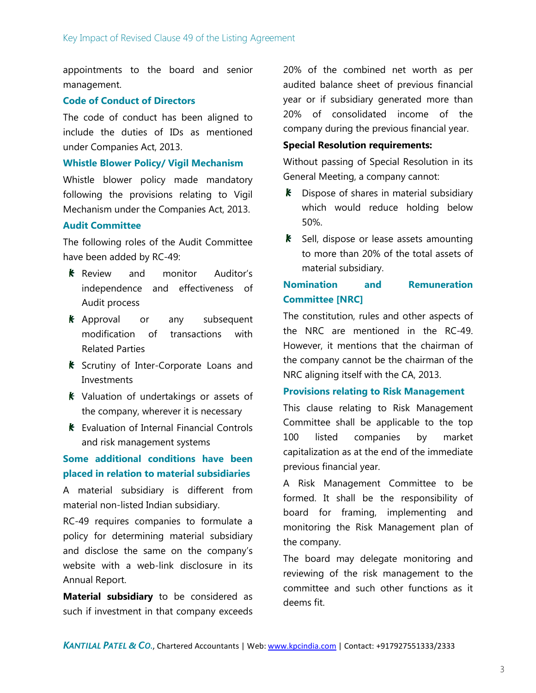appointments to the board and senior management.

#### **Code of Conduct of Directors**

The code of conduct has been aligned to include the duties of IDs as mentioned under Companies Act, 2013.

#### **Whistle Blower Policy/ Vigil Mechanism**

Whistle blower policy made mandatory following the provisions relating to Vigil Mechanism under the Companies Act, 2013.

#### **Audit Committee**

The following roles of the Audit Committee have been added by RC-49:

- **K** Review and monitor Auditor's independence and effectiveness of Audit process
- **K** Approval or any subsequent modification of transactions with Related Parties
- **K** Scrutiny of Inter-Corporate Loans and Investments
- **K** Valuation of undertakings or assets of the company, wherever it is necessary
- **K** Evaluation of Internal Financial Controls and risk management systems

### **Some additional conditions have been placed in relation to material subsidiaries**

A material subsidiary is different from material non-listed Indian subsidiary.

RC-49 requires companies to formulate a policy for determining material subsidiary and disclose the same on the company's website with a web-link disclosure in its Annual Report.

**Material subsidiary** to be considered as such if investment in that company exceeds

20% of the combined net worth as per audited balance sheet of previous financial year or if subsidiary generated more than 20% of consolidated income of the company during the previous financial year.

#### **Special Resolution requirements:**

Without passing of Special Resolution in its General Meeting, a company cannot:

- $k$  Dispose of shares in material subsidiary which would reduce holding below 50%.
- $\boldsymbol{k}$  Sell, dispose or lease assets amounting to more than 20% of the total assets of material subsidiary.

# **Nomination and Remuneration Committee [NRC]**

The constitution, rules and other aspects of the NRC are mentioned in the RC-49. However, it mentions that the chairman of the company cannot be the chairman of the NRC aligning itself with the CA, 2013.

#### **Provisions relating to Risk Management**

This clause relating to Risk Management Committee shall be applicable to the top 100 listed companies by market capitalization as at the end of the immediate previous financial year.

A Risk Management Committee to be formed. It shall be the responsibility of board for framing, implementing and monitoring the Risk Management plan of the company.

The board may delegate monitoring and reviewing of the risk management to the committee and such other functions as it deems fit.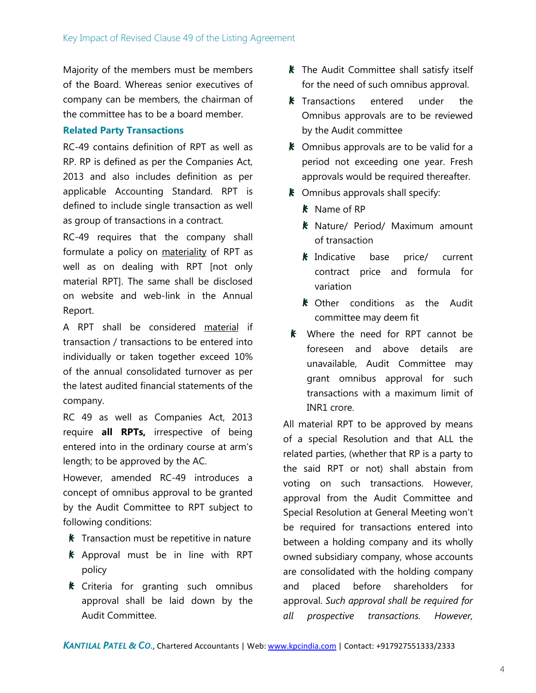Majority of the members must be members of the Board. Whereas senior executives of company can be members, the chairman of the committee has to be a board member.

#### **Related Party Transactions**

RC-49 contains definition of RPT as well as RP. RP is defined as per the Companies Act, 2013 and also includes definition as per applicable Accounting Standard. RPT is defined to include single transaction as well as group of transactions in a contract.

RC-49 requires that the company shall formulate a policy on materiality of RPT as well as on dealing with RPT [not only material RPT]. The same shall be disclosed on website and web-link in the Annual Report.

A RPT shall be considered material if transaction / transactions to be entered into individually or taken together exceed 10% of the annual consolidated turnover as per the latest audited financial statements of the company.

RC 49 as well as Companies Act, 2013 require **all RPTs,** irrespective of being entered into in the ordinary course at arm's length; to be approved by the AC.

However, amended RC-49 introduces a concept of omnibus approval to be granted by the Audit Committee to RPT subject to following conditions:

- **K** Transaction must be repetitive in nature
- $k$  Approval must be in line with RPT policy
- $\boldsymbol{k}$  Criteria for granting such omnibus approval shall be laid down by the Audit Committee.
- $k$  The Audit Committee shall satisfy itself for the need of such omnibus approval.
- $k$  Transactions entered under the Omnibus approvals are to be reviewed by the Audit committee
- $\boldsymbol{k}$  Omnibus approvals are to be valid for a period not exceeding one year. Fresh approvals would be required thereafter.
- $\boldsymbol{k}$  Omnibus approvals shall specify:
	- $k$  Name of RP
	- **K** Nature/ Period/ Maximum amount of transaction
	- $k$  Indicative base price/ current contract price and formula for variation
	- **K** Other conditions as the Audit committee may deem fit
- **K** Where the need for RPT cannot be foreseen and above details are unavailable, Audit Committee may grant omnibus approval for such transactions with a maximum limit of INR1 crore.

All material RPT to be approved by means of a special Resolution and that ALL the related parties, (whether that RP is a party to the said RPT or not) shall abstain from voting on such transactions. However, approval from the Audit Committee and Special Resolution at General Meeting won't be required for transactions entered into between a holding company and its wholly owned subsidiary company, whose accounts are consolidated with the holding company and placed before shareholders for approval. *Such approval shall be required for all prospective transactions. However,*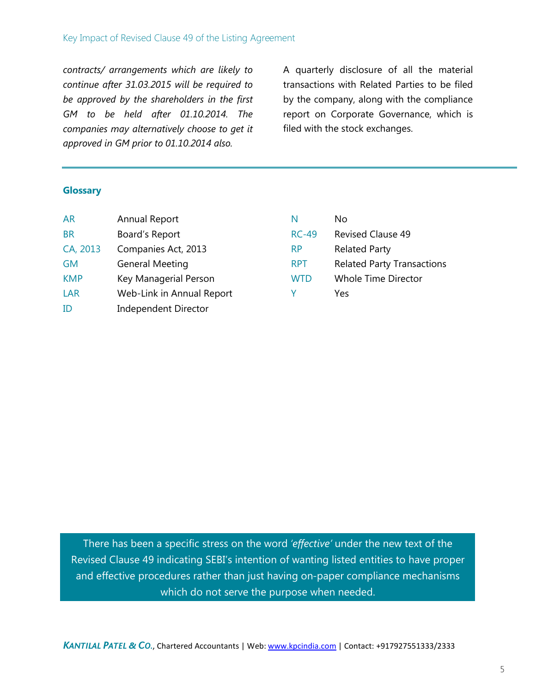*contracts/ arrangements which are likely to continue after 31.03.2015 will be required to be approved by the shareholders in the first GM to be held after 01.10.2014. The companies may alternatively choose to get it approved in GM prior to 01.10.2014 also.*

A quarterly disclosure of all the material transactions with Related Parties to be filed by the company, along with the compliance report on Corporate Governance, which is filed with the stock exchanges.

#### **Glossary**

| <b>AR</b>  | Annual Report             | N            | No.                               |
|------------|---------------------------|--------------|-----------------------------------|
| <b>BR</b>  | Board's Report            | <b>RC-49</b> | <b>Revised Clause 49</b>          |
| CA, 2013   | Companies Act, 2013       | <b>RP</b>    | <b>Related Party</b>              |
| <b>GM</b>  | <b>General Meeting</b>    | <b>RPT</b>   | <b>Related Party Transactions</b> |
| <b>KMP</b> | Key Managerial Person     | <b>WTD</b>   | <b>Whole Time Director</b>        |
| <b>LAR</b> | Web-Link in Annual Report | v            | Yes                               |
| ID         | Independent Director      |              |                                   |

There has been a specific stress on the word *'effective'* under the new text of the Revised Clause 49 indicating SEBI's intention of wanting listed entities to have proper and effective procedures rather than just having on-paper compliance mechanisms which do not serve the purpose when needed.

*KANTILAL PATEL & CO.*, Chartered Accountants | Web: www.kpcindia.com | Contact: +917927551333/2333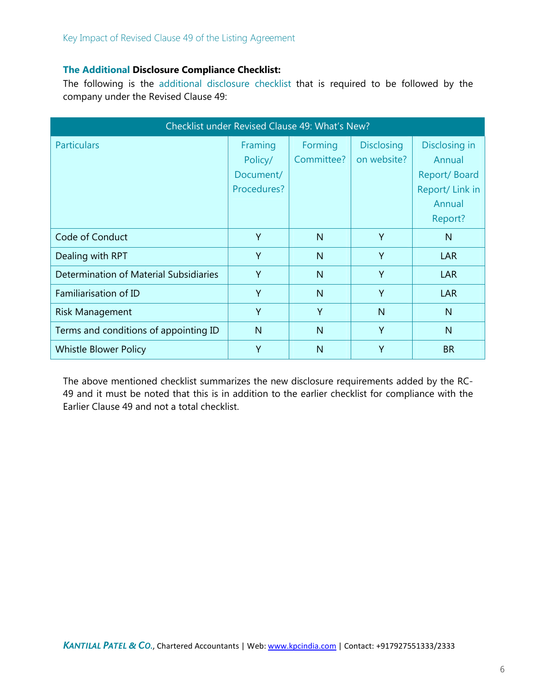#### **The Additional Disclosure Compliance Checklist:**

The following is the additional disclosure checklist that is required to be followed by the company under the Revised Clause 49:

| Checklist under Revised Clause 49: What's New? |              |              |                   |                |  |  |
|------------------------------------------------|--------------|--------------|-------------------|----------------|--|--|
| <b>Particulars</b>                             | Framing      | Forming      | <b>Disclosing</b> | Disclosing in  |  |  |
|                                                | Policy/      | Committee?   | on website?       | Annual         |  |  |
|                                                | Document/    |              |                   | Report/Board   |  |  |
|                                                | Procedures?  |              |                   | Report/Link in |  |  |
|                                                |              |              |                   | Annual         |  |  |
|                                                |              |              |                   | Report?        |  |  |
| Code of Conduct                                | Y            | N            | Y                 | $\mathsf{N}$   |  |  |
| Dealing with RPT                               | Y            | $\mathsf{N}$ | Y                 | <b>LAR</b>     |  |  |
| Determination of Material Subsidiaries         | Y            | $\mathsf{N}$ | Y                 | <b>LAR</b>     |  |  |
| Familiarisation of ID                          | Y            | $\mathsf{N}$ | Y                 | <b>LAR</b>     |  |  |
| <b>Risk Management</b>                         | Y            | Y            | N                 | $\mathsf{N}$   |  |  |
| Terms and conditions of appointing ID          | $\mathsf{N}$ | $\mathsf{N}$ | Y                 | $\mathsf{N}$   |  |  |
| <b>Whistle Blower Policy</b>                   | Y            | N            | Y                 | <b>BR</b>      |  |  |

The above mentioned checklist summarizes the new disclosure requirements added by the RC-49 and it must be noted that this is in addition to the earlier checklist for compliance with the Earlier Clause 49 and not a total checklist.